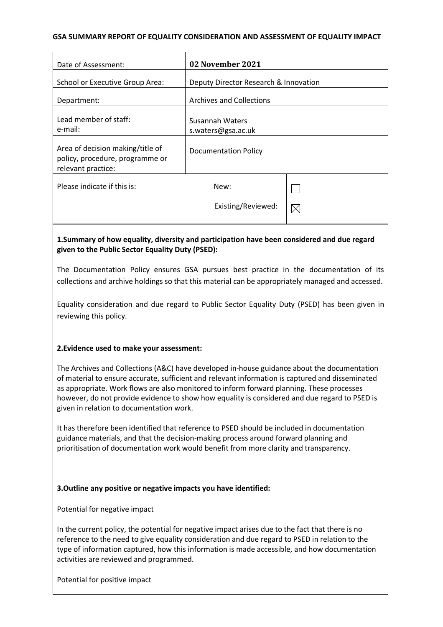#### **GSA SUMMARY REPORT OF EQUALITY CONSIDERATION AND ASSESSMENT OF EQUALITY IMPACT**

| Date of Assessment:                                                                                                                                                                             | 02 November 2021                             |             |
|-------------------------------------------------------------------------------------------------------------------------------------------------------------------------------------------------|----------------------------------------------|-------------|
| School or Executive Group Area:                                                                                                                                                                 | Deputy Director Research & Innovation        |             |
| Department:                                                                                                                                                                                     | <b>Archives and Collections</b>              |             |
| Lead member of staff:<br>e-mail:                                                                                                                                                                | <b>Susannah Waters</b><br>s.waters@gsa.ac.uk |             |
| Area of decision making/title of<br>policy, procedure, programme or<br>relevant practice:                                                                                                       | <b>Documentation Policy</b>                  |             |
| Please indicate if this is:                                                                                                                                                                     | New:                                         | I.          |
|                                                                                                                                                                                                 | Existing/Reviewed:                           | $\boxtimes$ |
| 1. Summary of how equality, diversity and participation have been considered and due regard<br>given to the Public Sector Equality Duty (PSED):                                                 |                                              |             |
| The Documentation Policy ensures GSA pursues best practice in the documentation of its<br>collections and archive holdings so that this material can be appropriately managed and accessed.     |                                              |             |
| Equality consideration and due regard to Public Sector Equality Duty (PSED) has been given in<br>reviewing this policy.                                                                         |                                              |             |
| 2. Evidence used to make your assessment:                                                                                                                                                       |                                              |             |
| The Archives and Collections (A&C) have developed in-house guidance about the documentation<br>of material to ensure accurate, sufficient and relevant information is captured and disseminated |                                              |             |

as appropriate. Work flows are also monitored to inform forward planning. These processes however, do not provide evidence to show how equality is considered and due regard to PSED is given in relation to documentation work.

It has therefore been identified that reference to PSED should be included in documentation guidance materials, and that the decision-making process around forward planning and prioritisation of documentation work would benefit from more clarity and transparency.

## **3.Outline any positive or negative impacts you have identified:**

Potential for negative impact

In the current policy, the potential for negative impact arises due to the fact that there is no reference to the need to give equality consideration and due regard to PSED in relation to the type of information captured, how this information is made accessible, and how documentation activities are reviewed and programmed.

Potential for positive impact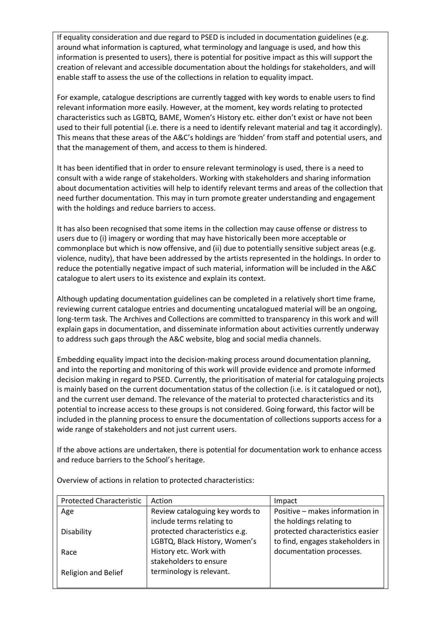If equality consideration and due regard to PSED is included in documentation guidelines (e.g. around what information is captured, what terminology and language is used, and how this information is presented to users), there is potential for positive impact as this will support the creation of relevant and accessible documentation about the holdings for stakeholders, and will enable staff to assess the use of the collections in relation to equality impact.

For example, catalogue descriptions are currently tagged with key words to enable users to find relevant information more easily. However, at the moment, key words relating to protected characteristics such as LGBTQ, BAME, Women's History etc. either don't exist or have not been used to their full potential (i.e. there is a need to identify relevant material and tag it accordingly). This means that these areas of the A&C's holdings are 'hidden' from staff and potential users, and that the management of them, and access to them is hindered.

It has been identified that in order to ensure relevant terminology is used, there is a need to consult with a wide range of stakeholders. Working with stakeholders and sharing information about documentation activities will help to identify relevant terms and areas of the collection that need further documentation. This may in turn promote greater understanding and engagement with the holdings and reduce barriers to access.

It has also been recognised that some items in the collection may cause offense or distress to users due to (i) imagery or wording that may have historically been more acceptable or commonplace but which is now offensive, and (ii) due to potentially sensitive subject areas (e.g. violence, nudity), that have been addressed by the artists represented in the holdings. In order to reduce the potentially negative impact of such material, information will be included in the A&C catalogue to alert users to its existence and explain its context.

Although updating documentation guidelines can be completed in a relatively short time frame, reviewing current catalogue entries and documenting uncatalogued material will be an ongoing, long-term task. The Archives and Collections are committed to transparency in this work and will explain gaps in documentation, and disseminate information about activities currently underway to address such gaps through the A&C website, blog and social media channels.

Embedding equality impact into the decision-making process around documentation planning, and into the reporting and monitoring of this work will provide evidence and promote informed decision making in regard to PSED. Currently, the prioritisation of material for cataloguing projects is mainly based on the current documentation status of the collection (i.e. is it catalogued or not), and the current user demand. The relevance of the material to protected characteristics and its potential to increase access to these groups is not considered. Going forward, this factor will be included in the planning process to ensure the documentation of collections supports access for a wide range of stakeholders and not just current users.

If the above actions are undertaken, there is potential for documentation work to enhance access and reduce barriers to the School's heritage.

| <b>Protected Characteristic</b> | Action                          | Impact                           |
|---------------------------------|---------------------------------|----------------------------------|
| Age                             | Review cataloguing key words to | Positive - makes information in  |
|                                 | include terms relating to       | the holdings relating to         |
| Disability                      | protected characteristics e.g.  | protected characteristics easier |
|                                 | LGBTQ, Black History, Women's   | to find, engages stakeholders in |
| Race                            | History etc. Work with          | documentation processes.         |
|                                 | stakeholders to ensure          |                                  |
| <b>Religion and Belief</b>      | terminology is relevant.        |                                  |
|                                 |                                 |                                  |

Overview of actions in relation to protected characteristics: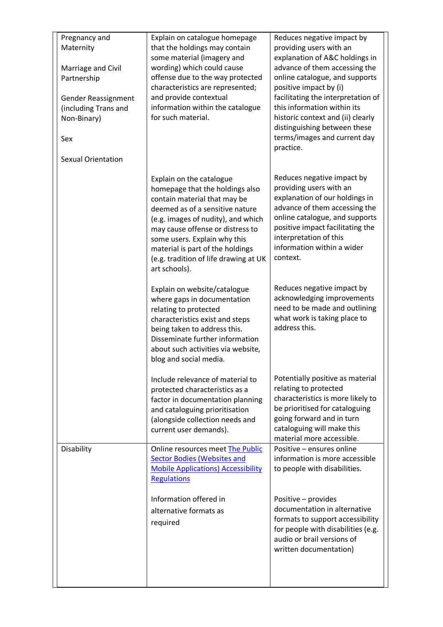| Pregnancy and<br>Maternity<br>Marriage and Civil<br>Partnership<br>Gender Reassignment<br>(including Trans and<br>Non-Binary)<br>Sex<br><b>Sexual Orientation</b> | Explain on catalogue homepage<br>that the holdings may contain<br>some material (imagery and<br>wording) which could cause<br>offense due to the way protected<br>characteristics are represented;<br>and provide contextual<br>information within the catalogue<br>for such material.                                                 | Reduces negative impact by<br>providing users with an<br>explanation of A&C holdings in<br>advance of them accessing the<br>online catalogue, and supports<br>positive impact by (i)<br>facilitating the interpretation of<br>this information within its<br>historic context and (ii) clearly<br>distinguishing between these<br>terms/images and current day<br>practice. |
|-------------------------------------------------------------------------------------------------------------------------------------------------------------------|----------------------------------------------------------------------------------------------------------------------------------------------------------------------------------------------------------------------------------------------------------------------------------------------------------------------------------------|-----------------------------------------------------------------------------------------------------------------------------------------------------------------------------------------------------------------------------------------------------------------------------------------------------------------------------------------------------------------------------|
|                                                                                                                                                                   | Explain on the catalogue<br>homepage that the holdings also<br>contain material that may be<br>deemed as of a sensitive nature<br>(e.g. images of nudity), and which<br>may cause offense or distress to<br>some users. Explain why this<br>material is part of the holdings<br>(e.g. tradition of life drawing at UK<br>art schools). | Reduces negative impact by<br>providing users with an<br>explanation of our holdings in<br>advance of them accessing the<br>online catalogue, and supports<br>positive impact facilitating the<br>interpretation of this<br>information within a wider<br>context.                                                                                                          |
|                                                                                                                                                                   | Explain on website/catalogue<br>where gaps in documentation<br>relating to protected<br>characteristics exist and steps<br>being taken to address this.<br>Disseminate further information<br>about such activities via website,<br>blog and social media.                                                                             | Reduces negative impact by<br>acknowledging improvements<br>need to be made and outlining<br>what work is taking place to<br>address this.                                                                                                                                                                                                                                  |
|                                                                                                                                                                   | Include relevance of material to<br>protected characteristics as a<br>factor in documentation planning<br>and cataloguing prioritisation<br>(alongside collection needs and<br>current user demands).                                                                                                                                  | Potentially positive as material<br>relating to protected<br>characteristics is more likely to<br>be prioritised for cataloguing<br>going forward and in turn<br>cataloguing will make this<br>material more accessible.                                                                                                                                                    |
| Disability                                                                                                                                                        | Online resources meet The Public<br><b>Sector Bodies (Websites and</b><br><b>Mobile Applications) Accessibility</b><br><b>Regulations</b>                                                                                                                                                                                              | Positive – ensures online<br>information is more accessible<br>to people with disabilities.                                                                                                                                                                                                                                                                                 |
|                                                                                                                                                                   | Information offered in<br>alternative formats as<br>required                                                                                                                                                                                                                                                                           | Positive - provides<br>documentation in alternative<br>formats to support accessibility<br>for people with disabilities (e.g.<br>audio or brail versions of<br>written documentation)                                                                                                                                                                                       |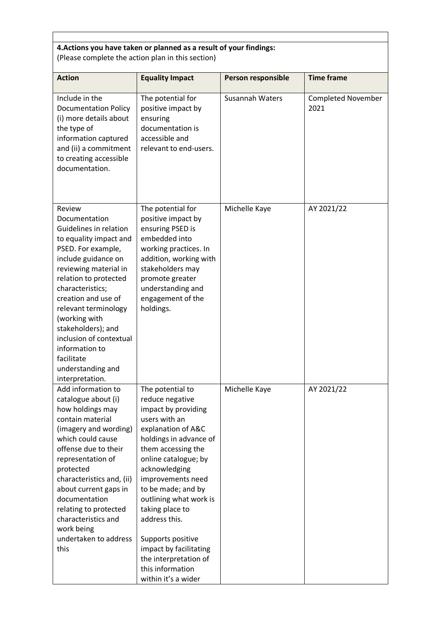# **4.Actions you have taken or planned as a result of your findings:** (Please complete the action plan in this section)

| <b>Action</b>                                                                                                                                                                                                                                                                                                                                                                           | <b>Equality Impact</b>                                                                                                                                                                                                                                                                                                                                                                                                 | <b>Person responsible</b> | <b>Time frame</b>                 |
|-----------------------------------------------------------------------------------------------------------------------------------------------------------------------------------------------------------------------------------------------------------------------------------------------------------------------------------------------------------------------------------------|------------------------------------------------------------------------------------------------------------------------------------------------------------------------------------------------------------------------------------------------------------------------------------------------------------------------------------------------------------------------------------------------------------------------|---------------------------|-----------------------------------|
| Include in the<br><b>Documentation Policy</b><br>(i) more details about<br>the type of<br>information captured<br>and (ii) a commitment<br>to creating accessible<br>documentation.                                                                                                                                                                                                     | The potential for<br>positive impact by<br>ensuring<br>documentation is<br>accessible and<br>relevant to end-users.                                                                                                                                                                                                                                                                                                    | Susannah Waters           | <b>Completed November</b><br>2021 |
| Review<br>Documentation<br>Guidelines in relation<br>to equality impact and<br>PSED. For example,<br>include guidance on<br>reviewing material in<br>relation to protected<br>characteristics;<br>creation and use of<br>relevant terminology<br>(working with<br>stakeholders); and<br>inclusion of contextual<br>information to<br>facilitate<br>understanding and<br>interpretation. | The potential for<br>positive impact by<br>ensuring PSED is<br>embedded into<br>working practices. In<br>addition, working with<br>stakeholders may<br>promote greater<br>understanding and<br>engagement of the<br>holdings.                                                                                                                                                                                          | Michelle Kaye             | AY 2021/22                        |
| Add information to<br>catalogue about (i)<br>how holdings may<br>contain material<br>(imagery and wording)<br>which could cause<br>offense due to their<br>representation of<br>protected<br>characteristics and, (ii)<br>about current gaps in<br>documentation<br>relating to protected<br>characteristics and<br>work being<br>undertaken to address<br>this                         | The potential to<br>reduce negative<br>impact by providing<br>users with an<br>explanation of A&C<br>holdings in advance of<br>them accessing the<br>online catalogue; by<br>acknowledging<br>improvements need<br>to be made; and by<br>outlining what work is<br>taking place to<br>address this.<br>Supports positive<br>impact by facilitating<br>the interpretation of<br>this information<br>within it's a wider | Michelle Kaye             | AY 2021/22                        |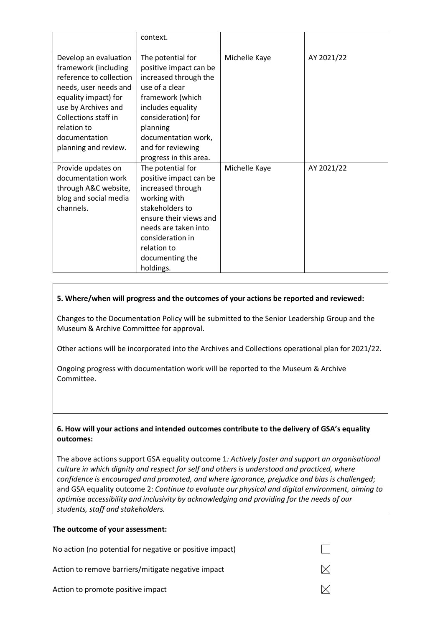|                                                                                                                                                                                                                                  | context.                                                                                                                                                                                                                                |               |            |
|----------------------------------------------------------------------------------------------------------------------------------------------------------------------------------------------------------------------------------|-----------------------------------------------------------------------------------------------------------------------------------------------------------------------------------------------------------------------------------------|---------------|------------|
| Develop an evaluation<br>framework (including<br>reference to collection<br>needs, user needs and<br>equality impact) for<br>use by Archives and<br>Collections staff in<br>relation to<br>documentation<br>planning and review. | The potential for<br>positive impact can be<br>increased through the<br>use of a clear<br>framework (which<br>includes equality<br>consideration) for<br>planning<br>documentation work,<br>and for reviewing<br>progress in this area. | Michelle Kaye | AY 2021/22 |
| Provide updates on<br>documentation work<br>through A&C website,<br>blog and social media<br>channels.                                                                                                                           | The potential for<br>positive impact can be<br>increased through<br>working with<br>stakeholders to<br>ensure their views and<br>needs are taken into<br>consideration in<br>relation to<br>documenting the<br>holdings.                | Michelle Kaye | AY 2021/22 |

#### **5. Where/when will progress and the outcomes of your actions be reported and reviewed:**

Changes to the Documentation Policy will be submitted to the Senior Leadership Group and the Museum & Archive Committee for approval.

Other actions will be incorporated into the Archives and Collections operational plan for 2021/22.

Ongoing progress with documentation work will be reported to the Museum & Archive Committee.

### **6. How will your actions and intended outcomes contribute to the delivery of GSA's equality outcomes:**

The above actions support GSA equality outcome 1*: Actively foster and support an organisational culture in which dignity and respect for self and others is understood and practiced, where confidence is encouraged and promoted, and where ignorance, prejudice and bias is challenged*; and GSA equality outcome 2: *Continue to evaluate our physical and digital environment, aiming to optimise accessibility and inclusivity by acknowledging and providing for the needs of our students, staff and stakeholders.*

#### **The outcome of your assessment:**

No action (no potential for negative or positive impact)  $\boxtimes$ Action to remove barriers/mitigate negative impact  $\boxtimes$ Action to promote positive impact